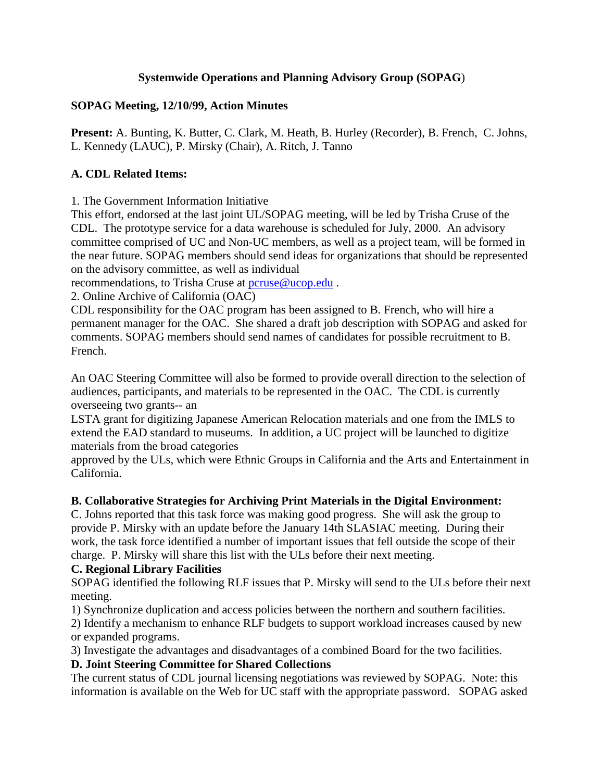### **Systemwide Operations and Planning Advisory Group (SOPAG**)

### **SOPAG Meeting, 12/10/99, Action Minutes**

**Present:** A. Bunting, K. Butter, C. Clark, M. Heath, B. Hurley (Recorder), B. French, C. Johns, L. Kennedy (LAUC), P. Mirsky (Chair), A. Ritch, J. Tanno

## **A. CDL Related Items:**

1. The Government Information Initiative

This effort, endorsed at the last joint UL/SOPAG meeting, will be led by Trisha Cruse of the CDL. The prototype service for a data warehouse is scheduled for July, 2000. An advisory committee comprised of UC and Non-UC members, as well as a project team, will be formed in the near future. SOPAG members should send ideas for organizations that should be represented on the advisory committee, as well as individual

recommendations, to Trisha Cruse at **pcruse@ucop.edu**.

2. Online Archive of California (OAC)

CDL responsibility for the OAC program has been assigned to B. French, who will hire a permanent manager for the OAC. She shared a draft job description with SOPAG and asked for comments. SOPAG members should send names of candidates for possible recruitment to B. French.

An OAC Steering Committee will also be formed to provide overall direction to the selection of audiences, participants, and materials to be represented in the OAC. The CDL is currently overseeing two grants-- an

LSTA grant for digitizing Japanese American Relocation materials and one from the IMLS to extend the EAD standard to museums. In addition, a UC project will be launched to digitize materials from the broad categories

approved by the ULs, which were Ethnic Groups in California and the Arts and Entertainment in California.

# **B. Collaborative Strategies for Archiving Print Materials in the Digital Environment:**

C. Johns reported that this task force was making good progress. She will ask the group to provide P. Mirsky with an update before the January 14th SLASIAC meeting. During their work, the task force identified a number of important issues that fell outside the scope of their charge. P. Mirsky will share this list with the ULs before their next meeting.

### **C. Regional Library Facilities**

SOPAG identified the following RLF issues that P. Mirsky will send to the ULs before their next meeting.

1) Synchronize duplication and access policies between the northern and southern facilities.

2) Identify a mechanism to enhance RLF budgets to support workload increases caused by new or expanded programs.

3) Investigate the advantages and disadvantages of a combined Board for the two facilities.

# **D. Joint Steering Committee for Shared Collections**

The current status of CDL journal licensing negotiations was reviewed by SOPAG. Note: this information is available on the Web for UC staff with the appropriate password. SOPAG asked